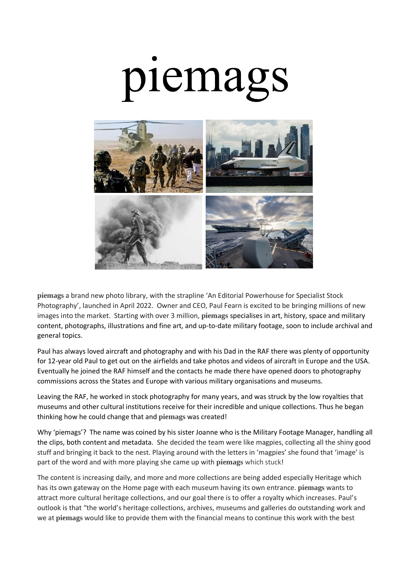## piemags



**[piemags](https://www.piemags.com/)** a brand new photo library, with the strapline 'An Editorial Powerhouse for Specialist Stock Photography', launched in April 2022. Owner and CEO, Paul Fearn is excited to be bringing millions of new images into the market. Starting with over 3 million, **[piemags](https://www.piemags.com/)** specialises in art, history, space and military content, photographs, illustrations and fine art, and up-to-date military footage, soon to include archival and general topics.

Paul has always loved aircraft and photography and with his Dad in the RAF there was plenty of opportunity for 12-year old Paul to get out on the airfields and take photos and videos of aircraft in Europe and the USA. Eventually he joined the RAF himself and the contacts he made there have opened doors to photography commissions across the States and Europe with various military organisations and museums.

Leaving the RAF, he worked in stock photography for many years, and was struck by the low royalties that museums and other cultural institutions receive for their incredible and unique collections. Thus he began thinking how he could change that and **[piemags](https://www.piemags.com/)** was created!

Why 'piemags'? The name was coined by his sister Joanne who is the Military Footage Manager, handling all the clips, both content and metadata. She decided the team were like magpies, collecting all the shiny good stuff and bringing it back to the nest. Playing around with the letters in 'magpies' she found that 'image' is part of the word and with more playing she came up with **piemags** which stuck!

The content is increasing daily, and more and more collections are being added especially Heritage which has its own gateway on the Home page with each museum having its own entrance. **piemags** wants to attract more cultural heritage collections, and our goal there is to offer a royalty which increases. Paul's outlook is that "the world's heritage collections, archives, museums and galleries do outstanding work and we at **piemags** would like to provide them with the financial means to continue this work with the best